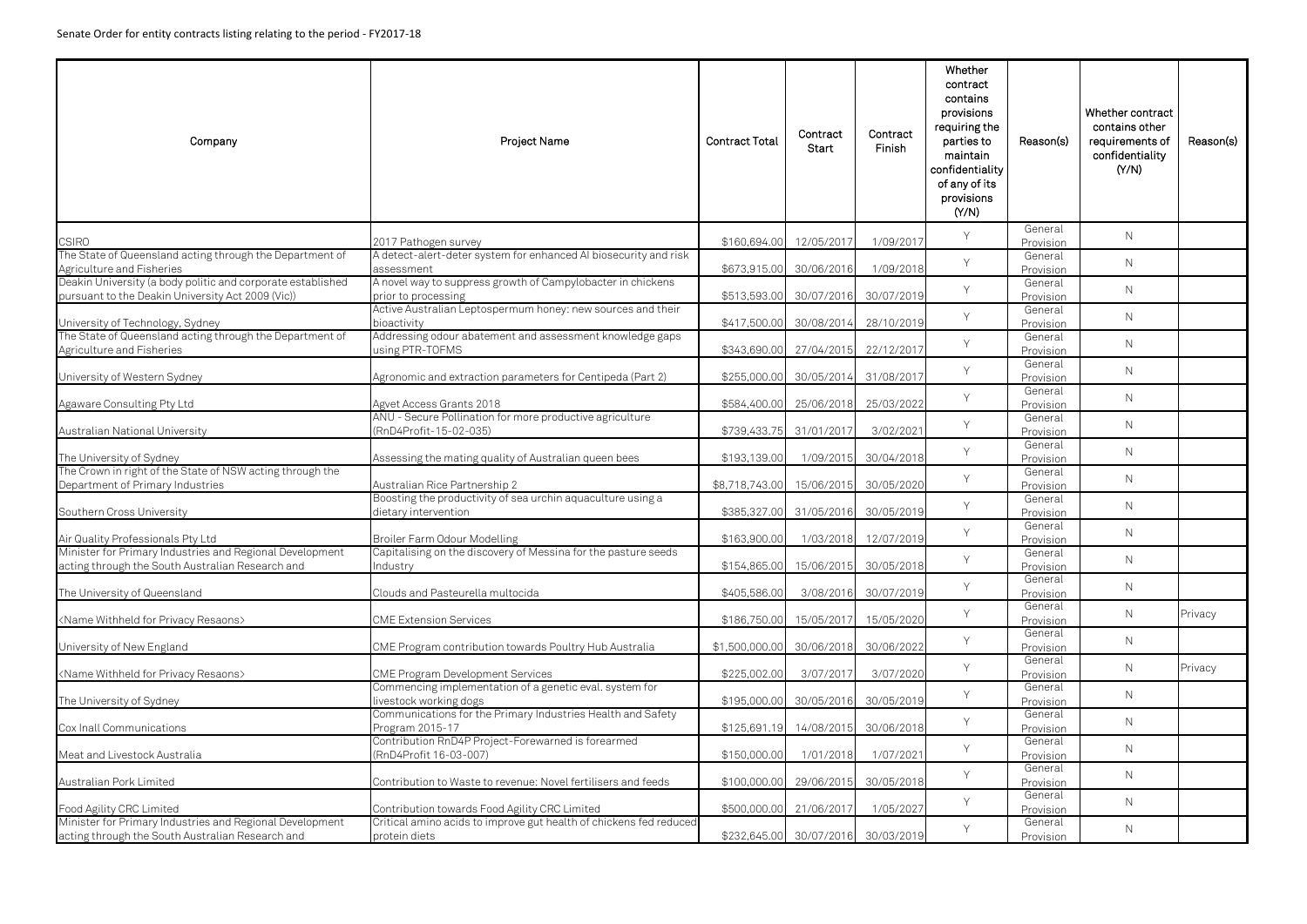| Company                                                                                                          | Project Name                                                                        | <b>Contract Total</b> | Contract<br>Start       | Contract<br>Finish    | Whether<br>contract<br>contains<br>provisions<br>requiring the<br>parties to<br>maintain<br>confidentiality<br>of any of its<br>provisions<br>(Y/N) | Reason(s)            | Whether contract<br>contains other<br>requirements of<br>confidentiality<br>(Y/N) | Reason(s) |
|------------------------------------------------------------------------------------------------------------------|-------------------------------------------------------------------------------------|-----------------------|-------------------------|-----------------------|-----------------------------------------------------------------------------------------------------------------------------------------------------|----------------------|-----------------------------------------------------------------------------------|-----------|
| <b>CSIRO</b>                                                                                                     | 2017 Pathogen survey                                                                | \$160,694.00          | 12/05/2017              | 1/09/2017             | Y                                                                                                                                                   | General<br>Provision | $\mathsf{N}$                                                                      |           |
| The State of Queensland acting through the Department of<br>Agriculture and Fisheries                            | A detect-alert-deter system for enhanced AI biosecurity and risk<br>assessment      | \$673,915.00          | 30/06/2016              | 1/09/2018             | Y                                                                                                                                                   | General<br>Provision | $\mathsf{N}$                                                                      |           |
| Deakin University (a body politic and corporate established<br>pursuant to the Deakin University Act 2009 (Vic)) | A novel way to suppress growth of Campylobacter in chickens<br>prior to processing  | \$513,593.00          | 30/07/2016              | 30/07/2019            | Y                                                                                                                                                   | General<br>Provision | $\mathsf{N}$                                                                      |           |
| University of Technology, Sydney                                                                                 | Active Australian Leptospermum honey: new sources and their<br>bioactivity          | \$417,500.00          | 30/08/2014              | 28/10/2019            | Y                                                                                                                                                   | General<br>Provision | $\mathsf{N}$                                                                      |           |
| The State of Queensland acting through the Department of<br>Agriculture and Fisheries                            | Addressing odour abatement and assessment knowledge gaps<br>using PTR-TOFMS         | \$343,690.00          | 27/04/2015              | 22/12/2017            | Y                                                                                                                                                   | General<br>Provision | $\mathsf{N}$                                                                      |           |
| University of Western Sydney                                                                                     | Agronomic and extraction parameters for Centipeda (Part 2)                          | \$255,000.00          | 30/05/2014              | 31/08/2017            | Y                                                                                                                                                   | General<br>Provision | $\mathsf{N}$                                                                      |           |
| Agaware Consulting Pty Ltd                                                                                       | Agvet Access Grants 2018                                                            | \$584,400.00          | 25/06/2018              | 25/03/2022            | Y                                                                                                                                                   | General<br>Provision | $\mathsf{N}$                                                                      |           |
| Australian National University                                                                                   | ANU - Secure Pollination for more productive agriculture<br>(RnD4Profit-15-02-035)  |                       | \$739,433.75 31/01/2017 | 3/02/2021             | Y                                                                                                                                                   | General<br>Provision | $\mathsf{N}$                                                                      |           |
| The University of Sydney                                                                                         | Assessing the mating quality of Australian queen bees                               | \$193,139.00          | 1/09/2015               | 30/04/2018            | Y                                                                                                                                                   | General<br>Provision | $\mathsf{N}$                                                                      |           |
| The Crown in right of the State of NSW acting through the<br>Department of Primary Industries                    | Australian Rice Partnership 2                                                       | \$8,718,743.00        | 15/06/2015              | 30/05/2020            | Y                                                                                                                                                   | General<br>Provision | $\mathsf{N}$                                                                      |           |
| Southern Cross University                                                                                        | Boosting the productivity of sea urchin aquaculture using a<br>dietary intervention | \$385,327.00          | 31/05/2016              | 30/05/2019            | Y                                                                                                                                                   | General<br>Provision | $\mathsf{N}$                                                                      |           |
| Air Quality Professionals Pty Ltd                                                                                | Broiler Farm Odour Modelling                                                        | \$163,900.00          |                         | 1/03/2018 12/07/2019  | Y                                                                                                                                                   | General<br>Provision | $\mathsf{N}$                                                                      |           |
| Minister for Primary Industries and Regional Development<br>acting through the South Australian Research and     | Capitalising on the discovery of Messina for the pasture seeds<br>Industry          | \$154,865.00          | 15/06/2015              | 30/05/2018            | Y                                                                                                                                                   | General<br>Provision | $\mathsf{N}$                                                                      |           |
| The University of Queensland                                                                                     | Clouds and Pasteurella multocida                                                    | \$405,586.00          | 3/08/2016               | 30/07/2019            | Y                                                                                                                                                   | General<br>Provision | $\mathsf{N}$                                                                      |           |
| <name for="" privacy="" resaons="" withheld=""></name>                                                           | <b>CME Extension Services</b>                                                       | \$186,750.00          | 15/05/2017              | 15/05/2020            | Y                                                                                                                                                   | General<br>Provision | $\mathsf{N}$                                                                      | Privacy   |
| University of New England                                                                                        | CME Program contribution towards Poultry Hub Australia                              | \$1,500,000.00        | 30/06/2018              | 30/06/2022            | Y                                                                                                                                                   | General<br>Provision | $\mathsf{N}$                                                                      |           |
| <name for="" privacy="" resaons="" withheld=""></name>                                                           | <b>CME Program Development Services</b>                                             | \$225,002.00          | 3/07/2017               | 3/07/2020             | Y                                                                                                                                                   | General<br>Provision | $\mathsf{N}$                                                                      | Privacy   |
| The University of Sydney                                                                                         | Commencing implementation of a genetic eval. system for<br>livestock working dogs   | \$195,000.00          | 30/05/2016              | 30/05/2019            | Y                                                                                                                                                   | General<br>Provision | $\mathsf{N}$                                                                      |           |
| Cox Inall Communications                                                                                         | Communications for the Primary Industries Health and Safety<br>Program 2015-17      | \$125,691.19          | 14/08/2015              | 30/06/2018            | Y                                                                                                                                                   | General<br>Provision | $\mathsf{N}$                                                                      |           |
| Meat and Livestock Australia                                                                                     | Contribution RnD4P Project-Forewarned is forearmed<br>(RnD4Profit 16-03-007)        | \$150,000.00          | 1/01/2018               | 1/07/2021             | Y                                                                                                                                                   | General<br>Provision | $\mathsf{N}$                                                                      |           |
| Australian Pork Limited                                                                                          | Contribution to Waste to revenue: Novel fertilisers and feeds                       | \$100,000.00          | 29/06/2015              | 30/05/2018            | Y                                                                                                                                                   | General<br>Provision | $\mathsf{N}$                                                                      |           |
| Food Agility CRC Limited                                                                                         | Contribution towards Food Agility CRC Limited                                       | \$500,000.00          | 21/06/2017              | 1/05/2027             | Y                                                                                                                                                   | General<br>Provision | $\mathsf{N}$                                                                      |           |
| Minister for Primary Industries and Regional Development<br>acting through the South Australian Research and     | Critical amino acids to improve gut health of chickens fed reduced<br>protein diets | \$232,645.00          |                         | 30/07/2016 30/03/2019 | Y                                                                                                                                                   | General<br>Provision | N                                                                                 |           |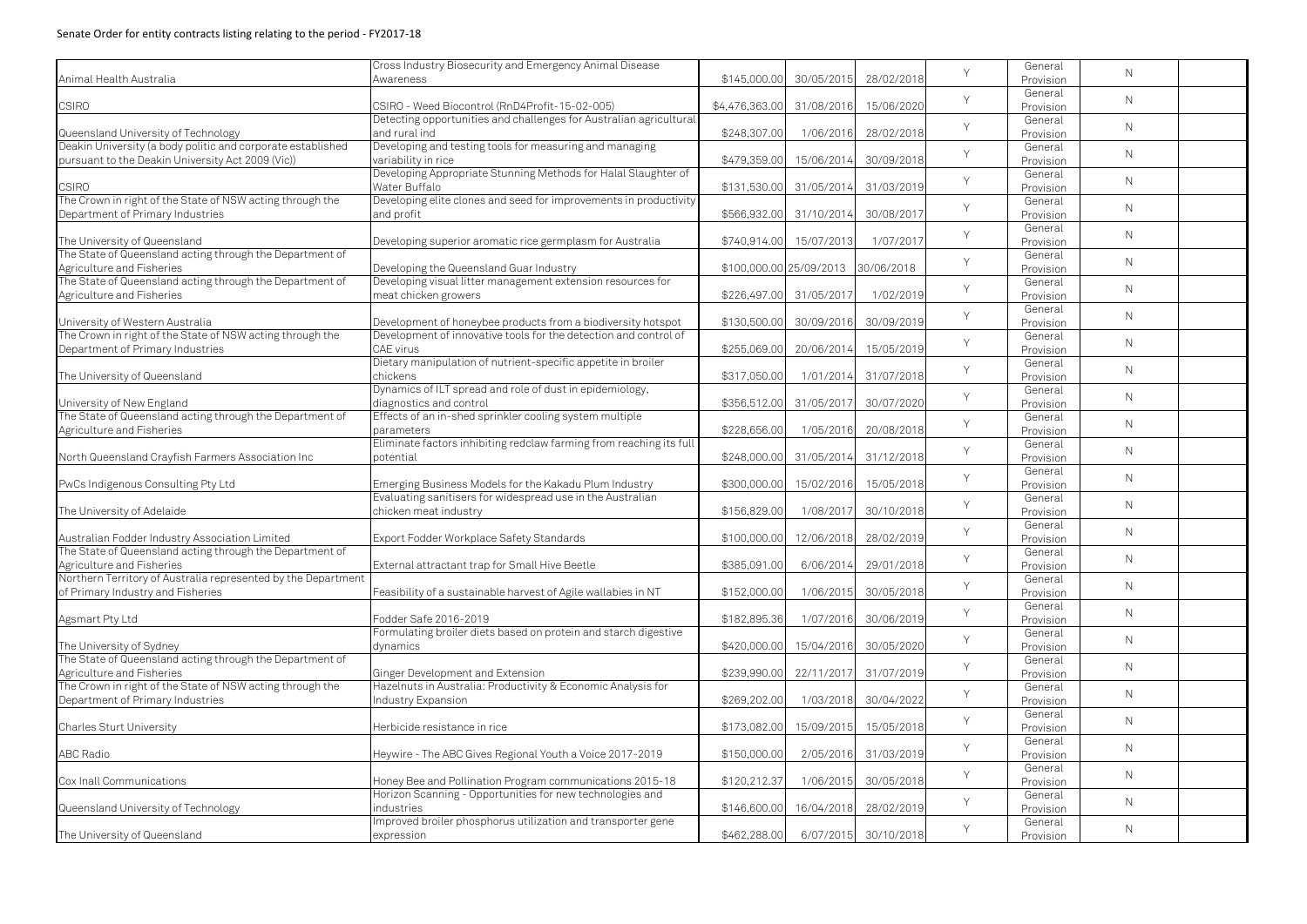| \$145,000.00<br>30/05/2015<br>28/02/2018<br>Awareness<br>Provision<br>General<br>Y<br>$\mathsf{N}$<br><b>CSIRO</b><br>15/06/2020<br>CSIRO - Weed Biocontrol (RnD4Profit-15-02-005)<br>31/08/2016<br>\$4,476,363.00<br>Provision<br>Detecting opportunities and challenges for Australian agricultural<br>General<br>Y<br>$\mathsf{N}$<br>and rural ind<br>\$248,307.00<br>1/06/2016<br>28/02/2018<br>Queensland University of Technology<br>Provision<br>Deakin University (a body politic and corporate established<br>Developing and testing tools for measuring and managing<br>General<br>Y<br>$\mathsf{N}$<br>variability in rice<br>\$479,359.00<br>15/06/2014<br>30/09/2018<br>Provision<br>Developing Appropriate Stunning Methods for Halal Slaughter of<br>General<br>$\vee$<br>$\mathsf{N}$<br>Water Buffalo<br><b>CSIRO</b><br>\$131,530.00<br>31/05/2014<br>31/03/2019<br>Provision<br>The Crown in right of the State of NSW acting through the<br>Developing elite clones and seed for improvements in productivity<br>General<br>Y<br>$\mathsf{N}$<br>and profit<br>30/08/2017<br>\$566,932.00<br>31/10/2014<br>Provision<br>General<br>Y<br>$\mathsf{N}$<br>The University of Queensland<br>1/07/2017<br>Developing superior aromatic rice germplasm for Australia<br>\$740,914.00<br>15/07/2013<br>Provision<br>The State of Queensland acting through the Department of<br>General<br>Y<br>$\mathsf{N}$<br>\$100,000.00 25/09/2013 30/06/2018<br>Agriculture and Fisheries<br>Developing the Queensland Guar Industry<br>Provision<br>The State of Queensland acting through the Department of<br>Developing visual litter management extension resources for<br>General<br>Y<br>$\mathsf{N}$<br>meat chicken growers<br>\$226,497.00<br>31/05/2017<br>1/02/2019<br>Provision<br>General<br>Y<br>$\mathsf{N}$<br>30/09/2019<br>University of Western Australia<br>Development of honeybee products from a biodiversity hotspot<br>\$130,500.00<br>30/09/2016<br>Provision<br>The Crown in right of the State of NSW acting through the<br>Development of innovative tools for the detection and control of<br>General<br>Y<br>$\mathsf{N}$<br>15/05/2019<br><b>CAE</b> virus<br>\$255,069.00<br>20/06/2014<br>Provision<br>Dietary manipulation of nutrient-specific appetite in broiler<br>General<br>Y<br>$\mathsf{N}$<br>The University of Queensland<br>31/07/2018<br>chickens<br>\$317,050.00<br>1/01/2014<br>Provision<br>Dynamics of ILT spread and role of dust in epidemiology,<br>General<br>Y<br>$\mathsf{N}$<br>30/07/2020<br>University of New England<br>diagnostics and control<br>\$356,512.00<br>31/05/2017<br>Provision<br>The State of Queensland acting through the Department of<br>Effects of an in-shed sprinkler cooling system multiple<br>General<br>Y<br>$\mathsf{N}$<br>\$228,656.00<br>1/05/2016<br>20/08/2018<br>parameters<br>Provision<br>Eliminate factors inhibiting redclaw farming from reaching its full<br>General<br>Y<br>$\mathsf{N}$<br>North Queensland Crayfish Farmers Association Inc<br>potential<br>\$248,000.00<br>31/05/2014<br>31/12/2018<br>Provision<br>General<br>Y<br>$\mathsf{N}$<br>Emerging Business Models for the Kakadu Plum Industry<br>\$300,000.00<br>15/02/2016<br>15/05/2018<br>Provision<br>Evaluating sanitisers for widespread use in the Australian<br>General<br>Y<br>$\mathsf{N}$<br>chicken meat industry<br>\$156,829.00<br>30/10/2018<br>1/08/2017<br>Provision<br>General<br>Y<br>$\mathsf{N}$<br>Export Fodder Workplace Safety Standards<br>\$100,000.00<br>12/06/2018<br>28/02/2019<br>Provision<br>The State of Queensland acting through the Department of<br>General<br>Y<br>$\mathsf{N}$<br>29/01/2018<br>\$385,091.00<br>6/06/2014<br>External attractant trap for Small Hive Beetle<br>Provision<br>Northern Territory of Australia represented by the Department<br>General<br>Y<br>$\mathsf{N}$<br>30/05/2018<br>Feasibility of a sustainable harvest of Agile wallabies in NT<br>\$152,000.00<br>1/06/2015<br>Provision<br>General<br>Y<br>$\mathsf{N}$<br>30/06/2019<br>Fodder Safe 2016-2019<br>\$182,895.36<br>1/07/2016<br>Provision<br>Formulating broiler diets based on protein and starch digestive<br>General<br>Y<br>$\mathsf{N}$<br>The University of Sydney<br>\$420,000.00<br>15/04/2016<br>30/05/2020<br>dynamics<br>Provision<br>The State of Queensland acting through the Department of<br>General<br>Y<br>$\mathsf{N}$<br>Agriculture and Fisheries<br>Ginger Development and Extension<br>\$239,990.00<br>22/11/2017<br>31/07/2019<br>Provision<br>The Crown in right of the State of NSW acting through the<br>Hazelnuts in Australia: Productivity & Economic Analysis for<br>General<br>Y<br>$\mathsf{N}$<br>Department of Primary Industries<br>1/03/2018<br>30/04/2022<br>Industry Expansion<br>\$269,202.00<br>Provision<br>General<br>Y<br>$\mathsf{N}$<br>15/09/2015<br>\$173,082.00<br>15/05/2018<br>Herbicide resistance in rice<br>Provision<br>General<br>Y<br>$\mathsf{N}$<br><b>ABC Radio</b><br>Heywire - The ABC Gives Regional Youth a Voice 2017-2019<br>\$150,000.00<br>2/05/2016<br>31/03/2019<br>Provision<br>General<br>Y<br>$\mathsf{N}$<br>Honey Bee and Pollination Program communications 2015-18<br>\$120,212.37<br>1/06/2015<br>30/05/2018<br>Provision<br>Horizon Scanning - Opportunities for new technologies and<br>General<br>Y<br>$\mathsf{N}$<br>industries<br>\$146,600.00<br>16/04/2018<br>28/02/2019<br>Provision<br>Improved broiler phosphorus utilization and transporter gene<br>General<br>Y<br>$\mathsf{N}$<br>6/07/2015 30/10/2018<br>\$462,288.00<br>expression<br>Provision |                                                   | Cross Industry Biosecurity and Emergency Animal Disease |  | Y | General | $\mathsf{N}$ |  |
|---------------------------------------------------------------------------------------------------------------------------------------------------------------------------------------------------------------------------------------------------------------------------------------------------------------------------------------------------------------------------------------------------------------------------------------------------------------------------------------------------------------------------------------------------------------------------------------------------------------------------------------------------------------------------------------------------------------------------------------------------------------------------------------------------------------------------------------------------------------------------------------------------------------------------------------------------------------------------------------------------------------------------------------------------------------------------------------------------------------------------------------------------------------------------------------------------------------------------------------------------------------------------------------------------------------------------------------------------------------------------------------------------------------------------------------------------------------------------------------------------------------------------------------------------------------------------------------------------------------------------------------------------------------------------------------------------------------------------------------------------------------------------------------------------------------------------------------------------------------------------------------------------------------------------------------------------------------------------------------------------------------------------------------------------------------------------------------------------------------------------------------------------------------------------------------------------------------------------------------------------------------------------------------------------------------------------------------------------------------------------------------------------------------------------------------------------------------------------------------------------------------------------------------------------------------------------------------------------------------------------------------------------------------------------------------------------------------------------------------------------------------------------------------------------------------------------------------------------------------------------------------------------------------------------------------------------------------------------------------------------------------------------------------------------------------------------------------------------------------------------------------------------------------------------------------------------------------------------------------------------------------------------------------------------------------------------------------------------------------------------------------------------------------------------------------------------------------------------------------------------------------------------------------------------------------------------------------------------------------------------------------------------------------------------------------------------------------------------------------------------------------------------------------------------------------------------------------------------------------------------------------------------------------------------------------------------------------------------------------------------------------------------------------------------------------------------------------------------------------------------------------------------------------------------------------------------------------------------------------------------------------------------------------------------------------------------------------------------------------------------------------------------------------------------------------------------------------------------------------------------------------------------------------------------------------------------------------------------------------------------------------------------------------------------------------------------------------------------------------------------------------------------------------------------------------------------------------------------------------------------------------------------------------------------------------------------------------------------------------------------------------------------------------------------------------------------------------------------------------------------------------------------------------------------------------------------------------------------------------------------------------------------------------------------------------------------------------------------------------------------------------------------------------------------------------------------------------------------------------------------------------------------------------------------------------------------------------------------------------------------------------------------------|---------------------------------------------------|---------------------------------------------------------|--|---|---------|--------------|--|
|                                                                                                                                                                                                                                                                                                                                                                                                                                                                                                                                                                                                                                                                                                                                                                                                                                                                                                                                                                                                                                                                                                                                                                                                                                                                                                                                                                                                                                                                                                                                                                                                                                                                                                                                                                                                                                                                                                                                                                                                                                                                                                                                                                                                                                                                                                                                                                                                                                                                                                                                                                                                                                                                                                                                                                                                                                                                                                                                                                                                                                                                                                                                                                                                                                                                                                                                                                                                                                                                                                                                                                                                                                                                                                                                                                                                                                                                                                                                                                                                                                                                                                                                                                                                                                                                                                                                                                                                                                                                                                                                                                                                                                                                                                                                                                                                                                                                                                                                                                                                                                                                                                                                                                                                                                                                                                                                                                                                                                                                                                                                                                                                                                                         | Animal Health Australia                           |                                                         |  |   |         |              |  |
|                                                                                                                                                                                                                                                                                                                                                                                                                                                                                                                                                                                                                                                                                                                                                                                                                                                                                                                                                                                                                                                                                                                                                                                                                                                                                                                                                                                                                                                                                                                                                                                                                                                                                                                                                                                                                                                                                                                                                                                                                                                                                                                                                                                                                                                                                                                                                                                                                                                                                                                                                                                                                                                                                                                                                                                                                                                                                                                                                                                                                                                                                                                                                                                                                                                                                                                                                                                                                                                                                                                                                                                                                                                                                                                                                                                                                                                                                                                                                                                                                                                                                                                                                                                                                                                                                                                                                                                                                                                                                                                                                                                                                                                                                                                                                                                                                                                                                                                                                                                                                                                                                                                                                                                                                                                                                                                                                                                                                                                                                                                                                                                                                                                         |                                                   |                                                         |  |   |         |              |  |
|                                                                                                                                                                                                                                                                                                                                                                                                                                                                                                                                                                                                                                                                                                                                                                                                                                                                                                                                                                                                                                                                                                                                                                                                                                                                                                                                                                                                                                                                                                                                                                                                                                                                                                                                                                                                                                                                                                                                                                                                                                                                                                                                                                                                                                                                                                                                                                                                                                                                                                                                                                                                                                                                                                                                                                                                                                                                                                                                                                                                                                                                                                                                                                                                                                                                                                                                                                                                                                                                                                                                                                                                                                                                                                                                                                                                                                                                                                                                                                                                                                                                                                                                                                                                                                                                                                                                                                                                                                                                                                                                                                                                                                                                                                                                                                                                                                                                                                                                                                                                                                                                                                                                                                                                                                                                                                                                                                                                                                                                                                                                                                                                                                                         |                                                   |                                                         |  |   |         |              |  |
|                                                                                                                                                                                                                                                                                                                                                                                                                                                                                                                                                                                                                                                                                                                                                                                                                                                                                                                                                                                                                                                                                                                                                                                                                                                                                                                                                                                                                                                                                                                                                                                                                                                                                                                                                                                                                                                                                                                                                                                                                                                                                                                                                                                                                                                                                                                                                                                                                                                                                                                                                                                                                                                                                                                                                                                                                                                                                                                                                                                                                                                                                                                                                                                                                                                                                                                                                                                                                                                                                                                                                                                                                                                                                                                                                                                                                                                                                                                                                                                                                                                                                                                                                                                                                                                                                                                                                                                                                                                                                                                                                                                                                                                                                                                                                                                                                                                                                                                                                                                                                                                                                                                                                                                                                                                                                                                                                                                                                                                                                                                                                                                                                                                         |                                                   |                                                         |  |   |         |              |  |
|                                                                                                                                                                                                                                                                                                                                                                                                                                                                                                                                                                                                                                                                                                                                                                                                                                                                                                                                                                                                                                                                                                                                                                                                                                                                                                                                                                                                                                                                                                                                                                                                                                                                                                                                                                                                                                                                                                                                                                                                                                                                                                                                                                                                                                                                                                                                                                                                                                                                                                                                                                                                                                                                                                                                                                                                                                                                                                                                                                                                                                                                                                                                                                                                                                                                                                                                                                                                                                                                                                                                                                                                                                                                                                                                                                                                                                                                                                                                                                                                                                                                                                                                                                                                                                                                                                                                                                                                                                                                                                                                                                                                                                                                                                                                                                                                                                                                                                                                                                                                                                                                                                                                                                                                                                                                                                                                                                                                                                                                                                                                                                                                                                                         |                                                   |                                                         |  |   |         |              |  |
|                                                                                                                                                                                                                                                                                                                                                                                                                                                                                                                                                                                                                                                                                                                                                                                                                                                                                                                                                                                                                                                                                                                                                                                                                                                                                                                                                                                                                                                                                                                                                                                                                                                                                                                                                                                                                                                                                                                                                                                                                                                                                                                                                                                                                                                                                                                                                                                                                                                                                                                                                                                                                                                                                                                                                                                                                                                                                                                                                                                                                                                                                                                                                                                                                                                                                                                                                                                                                                                                                                                                                                                                                                                                                                                                                                                                                                                                                                                                                                                                                                                                                                                                                                                                                                                                                                                                                                                                                                                                                                                                                                                                                                                                                                                                                                                                                                                                                                                                                                                                                                                                                                                                                                                                                                                                                                                                                                                                                                                                                                                                                                                                                                                         |                                                   |                                                         |  |   |         |              |  |
|                                                                                                                                                                                                                                                                                                                                                                                                                                                                                                                                                                                                                                                                                                                                                                                                                                                                                                                                                                                                                                                                                                                                                                                                                                                                                                                                                                                                                                                                                                                                                                                                                                                                                                                                                                                                                                                                                                                                                                                                                                                                                                                                                                                                                                                                                                                                                                                                                                                                                                                                                                                                                                                                                                                                                                                                                                                                                                                                                                                                                                                                                                                                                                                                                                                                                                                                                                                                                                                                                                                                                                                                                                                                                                                                                                                                                                                                                                                                                                                                                                                                                                                                                                                                                                                                                                                                                                                                                                                                                                                                                                                                                                                                                                                                                                                                                                                                                                                                                                                                                                                                                                                                                                                                                                                                                                                                                                                                                                                                                                                                                                                                                                                         | pursuant to the Deakin University Act 2009 (Vic)) |                                                         |  |   |         |              |  |
|                                                                                                                                                                                                                                                                                                                                                                                                                                                                                                                                                                                                                                                                                                                                                                                                                                                                                                                                                                                                                                                                                                                                                                                                                                                                                                                                                                                                                                                                                                                                                                                                                                                                                                                                                                                                                                                                                                                                                                                                                                                                                                                                                                                                                                                                                                                                                                                                                                                                                                                                                                                                                                                                                                                                                                                                                                                                                                                                                                                                                                                                                                                                                                                                                                                                                                                                                                                                                                                                                                                                                                                                                                                                                                                                                                                                                                                                                                                                                                                                                                                                                                                                                                                                                                                                                                                                                                                                                                                                                                                                                                                                                                                                                                                                                                                                                                                                                                                                                                                                                                                                                                                                                                                                                                                                                                                                                                                                                                                                                                                                                                                                                                                         |                                                   |                                                         |  |   |         |              |  |
|                                                                                                                                                                                                                                                                                                                                                                                                                                                                                                                                                                                                                                                                                                                                                                                                                                                                                                                                                                                                                                                                                                                                                                                                                                                                                                                                                                                                                                                                                                                                                                                                                                                                                                                                                                                                                                                                                                                                                                                                                                                                                                                                                                                                                                                                                                                                                                                                                                                                                                                                                                                                                                                                                                                                                                                                                                                                                                                                                                                                                                                                                                                                                                                                                                                                                                                                                                                                                                                                                                                                                                                                                                                                                                                                                                                                                                                                                                                                                                                                                                                                                                                                                                                                                                                                                                                                                                                                                                                                                                                                                                                                                                                                                                                                                                                                                                                                                                                                                                                                                                                                                                                                                                                                                                                                                                                                                                                                                                                                                                                                                                                                                                                         |                                                   |                                                         |  |   |         |              |  |
|                                                                                                                                                                                                                                                                                                                                                                                                                                                                                                                                                                                                                                                                                                                                                                                                                                                                                                                                                                                                                                                                                                                                                                                                                                                                                                                                                                                                                                                                                                                                                                                                                                                                                                                                                                                                                                                                                                                                                                                                                                                                                                                                                                                                                                                                                                                                                                                                                                                                                                                                                                                                                                                                                                                                                                                                                                                                                                                                                                                                                                                                                                                                                                                                                                                                                                                                                                                                                                                                                                                                                                                                                                                                                                                                                                                                                                                                                                                                                                                                                                                                                                                                                                                                                                                                                                                                                                                                                                                                                                                                                                                                                                                                                                                                                                                                                                                                                                                                                                                                                                                                                                                                                                                                                                                                                                                                                                                                                                                                                                                                                                                                                                                         |                                                   |                                                         |  |   |         |              |  |
|                                                                                                                                                                                                                                                                                                                                                                                                                                                                                                                                                                                                                                                                                                                                                                                                                                                                                                                                                                                                                                                                                                                                                                                                                                                                                                                                                                                                                                                                                                                                                                                                                                                                                                                                                                                                                                                                                                                                                                                                                                                                                                                                                                                                                                                                                                                                                                                                                                                                                                                                                                                                                                                                                                                                                                                                                                                                                                                                                                                                                                                                                                                                                                                                                                                                                                                                                                                                                                                                                                                                                                                                                                                                                                                                                                                                                                                                                                                                                                                                                                                                                                                                                                                                                                                                                                                                                                                                                                                                                                                                                                                                                                                                                                                                                                                                                                                                                                                                                                                                                                                                                                                                                                                                                                                                                                                                                                                                                                                                                                                                                                                                                                                         | Department of Primary Industries                  |                                                         |  |   |         |              |  |
|                                                                                                                                                                                                                                                                                                                                                                                                                                                                                                                                                                                                                                                                                                                                                                                                                                                                                                                                                                                                                                                                                                                                                                                                                                                                                                                                                                                                                                                                                                                                                                                                                                                                                                                                                                                                                                                                                                                                                                                                                                                                                                                                                                                                                                                                                                                                                                                                                                                                                                                                                                                                                                                                                                                                                                                                                                                                                                                                                                                                                                                                                                                                                                                                                                                                                                                                                                                                                                                                                                                                                                                                                                                                                                                                                                                                                                                                                                                                                                                                                                                                                                                                                                                                                                                                                                                                                                                                                                                                                                                                                                                                                                                                                                                                                                                                                                                                                                                                                                                                                                                                                                                                                                                                                                                                                                                                                                                                                                                                                                                                                                                                                                                         |                                                   |                                                         |  |   |         |              |  |
|                                                                                                                                                                                                                                                                                                                                                                                                                                                                                                                                                                                                                                                                                                                                                                                                                                                                                                                                                                                                                                                                                                                                                                                                                                                                                                                                                                                                                                                                                                                                                                                                                                                                                                                                                                                                                                                                                                                                                                                                                                                                                                                                                                                                                                                                                                                                                                                                                                                                                                                                                                                                                                                                                                                                                                                                                                                                                                                                                                                                                                                                                                                                                                                                                                                                                                                                                                                                                                                                                                                                                                                                                                                                                                                                                                                                                                                                                                                                                                                                                                                                                                                                                                                                                                                                                                                                                                                                                                                                                                                                                                                                                                                                                                                                                                                                                                                                                                                                                                                                                                                                                                                                                                                                                                                                                                                                                                                                                                                                                                                                                                                                                                                         |                                                   |                                                         |  |   |         |              |  |
|                                                                                                                                                                                                                                                                                                                                                                                                                                                                                                                                                                                                                                                                                                                                                                                                                                                                                                                                                                                                                                                                                                                                                                                                                                                                                                                                                                                                                                                                                                                                                                                                                                                                                                                                                                                                                                                                                                                                                                                                                                                                                                                                                                                                                                                                                                                                                                                                                                                                                                                                                                                                                                                                                                                                                                                                                                                                                                                                                                                                                                                                                                                                                                                                                                                                                                                                                                                                                                                                                                                                                                                                                                                                                                                                                                                                                                                                                                                                                                                                                                                                                                                                                                                                                                                                                                                                                                                                                                                                                                                                                                                                                                                                                                                                                                                                                                                                                                                                                                                                                                                                                                                                                                                                                                                                                                                                                                                                                                                                                                                                                                                                                                                         |                                                   |                                                         |  |   |         |              |  |
|                                                                                                                                                                                                                                                                                                                                                                                                                                                                                                                                                                                                                                                                                                                                                                                                                                                                                                                                                                                                                                                                                                                                                                                                                                                                                                                                                                                                                                                                                                                                                                                                                                                                                                                                                                                                                                                                                                                                                                                                                                                                                                                                                                                                                                                                                                                                                                                                                                                                                                                                                                                                                                                                                                                                                                                                                                                                                                                                                                                                                                                                                                                                                                                                                                                                                                                                                                                                                                                                                                                                                                                                                                                                                                                                                                                                                                                                                                                                                                                                                                                                                                                                                                                                                                                                                                                                                                                                                                                                                                                                                                                                                                                                                                                                                                                                                                                                                                                                                                                                                                                                                                                                                                                                                                                                                                                                                                                                                                                                                                                                                                                                                                                         |                                                   |                                                         |  |   |         |              |  |
|                                                                                                                                                                                                                                                                                                                                                                                                                                                                                                                                                                                                                                                                                                                                                                                                                                                                                                                                                                                                                                                                                                                                                                                                                                                                                                                                                                                                                                                                                                                                                                                                                                                                                                                                                                                                                                                                                                                                                                                                                                                                                                                                                                                                                                                                                                                                                                                                                                                                                                                                                                                                                                                                                                                                                                                                                                                                                                                                                                                                                                                                                                                                                                                                                                                                                                                                                                                                                                                                                                                                                                                                                                                                                                                                                                                                                                                                                                                                                                                                                                                                                                                                                                                                                                                                                                                                                                                                                                                                                                                                                                                                                                                                                                                                                                                                                                                                                                                                                                                                                                                                                                                                                                                                                                                                                                                                                                                                                                                                                                                                                                                                                                                         |                                                   |                                                         |  |   |         |              |  |
|                                                                                                                                                                                                                                                                                                                                                                                                                                                                                                                                                                                                                                                                                                                                                                                                                                                                                                                                                                                                                                                                                                                                                                                                                                                                                                                                                                                                                                                                                                                                                                                                                                                                                                                                                                                                                                                                                                                                                                                                                                                                                                                                                                                                                                                                                                                                                                                                                                                                                                                                                                                                                                                                                                                                                                                                                                                                                                                                                                                                                                                                                                                                                                                                                                                                                                                                                                                                                                                                                                                                                                                                                                                                                                                                                                                                                                                                                                                                                                                                                                                                                                                                                                                                                                                                                                                                                                                                                                                                                                                                                                                                                                                                                                                                                                                                                                                                                                                                                                                                                                                                                                                                                                                                                                                                                                                                                                                                                                                                                                                                                                                                                                                         | Agriculture and Fisheries                         |                                                         |  |   |         |              |  |
|                                                                                                                                                                                                                                                                                                                                                                                                                                                                                                                                                                                                                                                                                                                                                                                                                                                                                                                                                                                                                                                                                                                                                                                                                                                                                                                                                                                                                                                                                                                                                                                                                                                                                                                                                                                                                                                                                                                                                                                                                                                                                                                                                                                                                                                                                                                                                                                                                                                                                                                                                                                                                                                                                                                                                                                                                                                                                                                                                                                                                                                                                                                                                                                                                                                                                                                                                                                                                                                                                                                                                                                                                                                                                                                                                                                                                                                                                                                                                                                                                                                                                                                                                                                                                                                                                                                                                                                                                                                                                                                                                                                                                                                                                                                                                                                                                                                                                                                                                                                                                                                                                                                                                                                                                                                                                                                                                                                                                                                                                                                                                                                                                                                         |                                                   |                                                         |  |   |         |              |  |
|                                                                                                                                                                                                                                                                                                                                                                                                                                                                                                                                                                                                                                                                                                                                                                                                                                                                                                                                                                                                                                                                                                                                                                                                                                                                                                                                                                                                                                                                                                                                                                                                                                                                                                                                                                                                                                                                                                                                                                                                                                                                                                                                                                                                                                                                                                                                                                                                                                                                                                                                                                                                                                                                                                                                                                                                                                                                                                                                                                                                                                                                                                                                                                                                                                                                                                                                                                                                                                                                                                                                                                                                                                                                                                                                                                                                                                                                                                                                                                                                                                                                                                                                                                                                                                                                                                                                                                                                                                                                                                                                                                                                                                                                                                                                                                                                                                                                                                                                                                                                                                                                                                                                                                                                                                                                                                                                                                                                                                                                                                                                                                                                                                                         |                                                   |                                                         |  |   |         |              |  |
|                                                                                                                                                                                                                                                                                                                                                                                                                                                                                                                                                                                                                                                                                                                                                                                                                                                                                                                                                                                                                                                                                                                                                                                                                                                                                                                                                                                                                                                                                                                                                                                                                                                                                                                                                                                                                                                                                                                                                                                                                                                                                                                                                                                                                                                                                                                                                                                                                                                                                                                                                                                                                                                                                                                                                                                                                                                                                                                                                                                                                                                                                                                                                                                                                                                                                                                                                                                                                                                                                                                                                                                                                                                                                                                                                                                                                                                                                                                                                                                                                                                                                                                                                                                                                                                                                                                                                                                                                                                                                                                                                                                                                                                                                                                                                                                                                                                                                                                                                                                                                                                                                                                                                                                                                                                                                                                                                                                                                                                                                                                                                                                                                                                         |                                                   |                                                         |  |   |         |              |  |
|                                                                                                                                                                                                                                                                                                                                                                                                                                                                                                                                                                                                                                                                                                                                                                                                                                                                                                                                                                                                                                                                                                                                                                                                                                                                                                                                                                                                                                                                                                                                                                                                                                                                                                                                                                                                                                                                                                                                                                                                                                                                                                                                                                                                                                                                                                                                                                                                                                                                                                                                                                                                                                                                                                                                                                                                                                                                                                                                                                                                                                                                                                                                                                                                                                                                                                                                                                                                                                                                                                                                                                                                                                                                                                                                                                                                                                                                                                                                                                                                                                                                                                                                                                                                                                                                                                                                                                                                                                                                                                                                                                                                                                                                                                                                                                                                                                                                                                                                                                                                                                                                                                                                                                                                                                                                                                                                                                                                                                                                                                                                                                                                                                                         | Department of Primary Industries                  |                                                         |  |   |         |              |  |
|                                                                                                                                                                                                                                                                                                                                                                                                                                                                                                                                                                                                                                                                                                                                                                                                                                                                                                                                                                                                                                                                                                                                                                                                                                                                                                                                                                                                                                                                                                                                                                                                                                                                                                                                                                                                                                                                                                                                                                                                                                                                                                                                                                                                                                                                                                                                                                                                                                                                                                                                                                                                                                                                                                                                                                                                                                                                                                                                                                                                                                                                                                                                                                                                                                                                                                                                                                                                                                                                                                                                                                                                                                                                                                                                                                                                                                                                                                                                                                                                                                                                                                                                                                                                                                                                                                                                                                                                                                                                                                                                                                                                                                                                                                                                                                                                                                                                                                                                                                                                                                                                                                                                                                                                                                                                                                                                                                                                                                                                                                                                                                                                                                                         |                                                   |                                                         |  |   |         |              |  |
|                                                                                                                                                                                                                                                                                                                                                                                                                                                                                                                                                                                                                                                                                                                                                                                                                                                                                                                                                                                                                                                                                                                                                                                                                                                                                                                                                                                                                                                                                                                                                                                                                                                                                                                                                                                                                                                                                                                                                                                                                                                                                                                                                                                                                                                                                                                                                                                                                                                                                                                                                                                                                                                                                                                                                                                                                                                                                                                                                                                                                                                                                                                                                                                                                                                                                                                                                                                                                                                                                                                                                                                                                                                                                                                                                                                                                                                                                                                                                                                                                                                                                                                                                                                                                                                                                                                                                                                                                                                                                                                                                                                                                                                                                                                                                                                                                                                                                                                                                                                                                                                                                                                                                                                                                                                                                                                                                                                                                                                                                                                                                                                                                                                         |                                                   |                                                         |  |   |         |              |  |
|                                                                                                                                                                                                                                                                                                                                                                                                                                                                                                                                                                                                                                                                                                                                                                                                                                                                                                                                                                                                                                                                                                                                                                                                                                                                                                                                                                                                                                                                                                                                                                                                                                                                                                                                                                                                                                                                                                                                                                                                                                                                                                                                                                                                                                                                                                                                                                                                                                                                                                                                                                                                                                                                                                                                                                                                                                                                                                                                                                                                                                                                                                                                                                                                                                                                                                                                                                                                                                                                                                                                                                                                                                                                                                                                                                                                                                                                                                                                                                                                                                                                                                                                                                                                                                                                                                                                                                                                                                                                                                                                                                                                                                                                                                                                                                                                                                                                                                                                                                                                                                                                                                                                                                                                                                                                                                                                                                                                                                                                                                                                                                                                                                                         |                                                   |                                                         |  |   |         |              |  |
|                                                                                                                                                                                                                                                                                                                                                                                                                                                                                                                                                                                                                                                                                                                                                                                                                                                                                                                                                                                                                                                                                                                                                                                                                                                                                                                                                                                                                                                                                                                                                                                                                                                                                                                                                                                                                                                                                                                                                                                                                                                                                                                                                                                                                                                                                                                                                                                                                                                                                                                                                                                                                                                                                                                                                                                                                                                                                                                                                                                                                                                                                                                                                                                                                                                                                                                                                                                                                                                                                                                                                                                                                                                                                                                                                                                                                                                                                                                                                                                                                                                                                                                                                                                                                                                                                                                                                                                                                                                                                                                                                                                                                                                                                                                                                                                                                                                                                                                                                                                                                                                                                                                                                                                                                                                                                                                                                                                                                                                                                                                                                                                                                                                         |                                                   |                                                         |  |   |         |              |  |
|                                                                                                                                                                                                                                                                                                                                                                                                                                                                                                                                                                                                                                                                                                                                                                                                                                                                                                                                                                                                                                                                                                                                                                                                                                                                                                                                                                                                                                                                                                                                                                                                                                                                                                                                                                                                                                                                                                                                                                                                                                                                                                                                                                                                                                                                                                                                                                                                                                                                                                                                                                                                                                                                                                                                                                                                                                                                                                                                                                                                                                                                                                                                                                                                                                                                                                                                                                                                                                                                                                                                                                                                                                                                                                                                                                                                                                                                                                                                                                                                                                                                                                                                                                                                                                                                                                                                                                                                                                                                                                                                                                                                                                                                                                                                                                                                                                                                                                                                                                                                                                                                                                                                                                                                                                                                                                                                                                                                                                                                                                                                                                                                                                                         |                                                   |                                                         |  |   |         |              |  |
|                                                                                                                                                                                                                                                                                                                                                                                                                                                                                                                                                                                                                                                                                                                                                                                                                                                                                                                                                                                                                                                                                                                                                                                                                                                                                                                                                                                                                                                                                                                                                                                                                                                                                                                                                                                                                                                                                                                                                                                                                                                                                                                                                                                                                                                                                                                                                                                                                                                                                                                                                                                                                                                                                                                                                                                                                                                                                                                                                                                                                                                                                                                                                                                                                                                                                                                                                                                                                                                                                                                                                                                                                                                                                                                                                                                                                                                                                                                                                                                                                                                                                                                                                                                                                                                                                                                                                                                                                                                                                                                                                                                                                                                                                                                                                                                                                                                                                                                                                                                                                                                                                                                                                                                                                                                                                                                                                                                                                                                                                                                                                                                                                                                         | Agriculture and Fisheries                         |                                                         |  |   |         |              |  |
|                                                                                                                                                                                                                                                                                                                                                                                                                                                                                                                                                                                                                                                                                                                                                                                                                                                                                                                                                                                                                                                                                                                                                                                                                                                                                                                                                                                                                                                                                                                                                                                                                                                                                                                                                                                                                                                                                                                                                                                                                                                                                                                                                                                                                                                                                                                                                                                                                                                                                                                                                                                                                                                                                                                                                                                                                                                                                                                                                                                                                                                                                                                                                                                                                                                                                                                                                                                                                                                                                                                                                                                                                                                                                                                                                                                                                                                                                                                                                                                                                                                                                                                                                                                                                                                                                                                                                                                                                                                                                                                                                                                                                                                                                                                                                                                                                                                                                                                                                                                                                                                                                                                                                                                                                                                                                                                                                                                                                                                                                                                                                                                                                                                         |                                                   |                                                         |  |   |         |              |  |
|                                                                                                                                                                                                                                                                                                                                                                                                                                                                                                                                                                                                                                                                                                                                                                                                                                                                                                                                                                                                                                                                                                                                                                                                                                                                                                                                                                                                                                                                                                                                                                                                                                                                                                                                                                                                                                                                                                                                                                                                                                                                                                                                                                                                                                                                                                                                                                                                                                                                                                                                                                                                                                                                                                                                                                                                                                                                                                                                                                                                                                                                                                                                                                                                                                                                                                                                                                                                                                                                                                                                                                                                                                                                                                                                                                                                                                                                                                                                                                                                                                                                                                                                                                                                                                                                                                                                                                                                                                                                                                                                                                                                                                                                                                                                                                                                                                                                                                                                                                                                                                                                                                                                                                                                                                                                                                                                                                                                                                                                                                                                                                                                                                                         |                                                   |                                                         |  |   |         |              |  |
|                                                                                                                                                                                                                                                                                                                                                                                                                                                                                                                                                                                                                                                                                                                                                                                                                                                                                                                                                                                                                                                                                                                                                                                                                                                                                                                                                                                                                                                                                                                                                                                                                                                                                                                                                                                                                                                                                                                                                                                                                                                                                                                                                                                                                                                                                                                                                                                                                                                                                                                                                                                                                                                                                                                                                                                                                                                                                                                                                                                                                                                                                                                                                                                                                                                                                                                                                                                                                                                                                                                                                                                                                                                                                                                                                                                                                                                                                                                                                                                                                                                                                                                                                                                                                                                                                                                                                                                                                                                                                                                                                                                                                                                                                                                                                                                                                                                                                                                                                                                                                                                                                                                                                                                                                                                                                                                                                                                                                                                                                                                                                                                                                                                         |                                                   |                                                         |  |   |         |              |  |
|                                                                                                                                                                                                                                                                                                                                                                                                                                                                                                                                                                                                                                                                                                                                                                                                                                                                                                                                                                                                                                                                                                                                                                                                                                                                                                                                                                                                                                                                                                                                                                                                                                                                                                                                                                                                                                                                                                                                                                                                                                                                                                                                                                                                                                                                                                                                                                                                                                                                                                                                                                                                                                                                                                                                                                                                                                                                                                                                                                                                                                                                                                                                                                                                                                                                                                                                                                                                                                                                                                                                                                                                                                                                                                                                                                                                                                                                                                                                                                                                                                                                                                                                                                                                                                                                                                                                                                                                                                                                                                                                                                                                                                                                                                                                                                                                                                                                                                                                                                                                                                                                                                                                                                                                                                                                                                                                                                                                                                                                                                                                                                                                                                                         | PwCs Indigenous Consulting Pty Ltd                |                                                         |  |   |         |              |  |
|                                                                                                                                                                                                                                                                                                                                                                                                                                                                                                                                                                                                                                                                                                                                                                                                                                                                                                                                                                                                                                                                                                                                                                                                                                                                                                                                                                                                                                                                                                                                                                                                                                                                                                                                                                                                                                                                                                                                                                                                                                                                                                                                                                                                                                                                                                                                                                                                                                                                                                                                                                                                                                                                                                                                                                                                                                                                                                                                                                                                                                                                                                                                                                                                                                                                                                                                                                                                                                                                                                                                                                                                                                                                                                                                                                                                                                                                                                                                                                                                                                                                                                                                                                                                                                                                                                                                                                                                                                                                                                                                                                                                                                                                                                                                                                                                                                                                                                                                                                                                                                                                                                                                                                                                                                                                                                                                                                                                                                                                                                                                                                                                                                                         |                                                   |                                                         |  |   |         |              |  |
|                                                                                                                                                                                                                                                                                                                                                                                                                                                                                                                                                                                                                                                                                                                                                                                                                                                                                                                                                                                                                                                                                                                                                                                                                                                                                                                                                                                                                                                                                                                                                                                                                                                                                                                                                                                                                                                                                                                                                                                                                                                                                                                                                                                                                                                                                                                                                                                                                                                                                                                                                                                                                                                                                                                                                                                                                                                                                                                                                                                                                                                                                                                                                                                                                                                                                                                                                                                                                                                                                                                                                                                                                                                                                                                                                                                                                                                                                                                                                                                                                                                                                                                                                                                                                                                                                                                                                                                                                                                                                                                                                                                                                                                                                                                                                                                                                                                                                                                                                                                                                                                                                                                                                                                                                                                                                                                                                                                                                                                                                                                                                                                                                                                         | The University of Adelaide                        |                                                         |  |   |         |              |  |
|                                                                                                                                                                                                                                                                                                                                                                                                                                                                                                                                                                                                                                                                                                                                                                                                                                                                                                                                                                                                                                                                                                                                                                                                                                                                                                                                                                                                                                                                                                                                                                                                                                                                                                                                                                                                                                                                                                                                                                                                                                                                                                                                                                                                                                                                                                                                                                                                                                                                                                                                                                                                                                                                                                                                                                                                                                                                                                                                                                                                                                                                                                                                                                                                                                                                                                                                                                                                                                                                                                                                                                                                                                                                                                                                                                                                                                                                                                                                                                                                                                                                                                                                                                                                                                                                                                                                                                                                                                                                                                                                                                                                                                                                                                                                                                                                                                                                                                                                                                                                                                                                                                                                                                                                                                                                                                                                                                                                                                                                                                                                                                                                                                                         |                                                   |                                                         |  |   |         |              |  |
|                                                                                                                                                                                                                                                                                                                                                                                                                                                                                                                                                                                                                                                                                                                                                                                                                                                                                                                                                                                                                                                                                                                                                                                                                                                                                                                                                                                                                                                                                                                                                                                                                                                                                                                                                                                                                                                                                                                                                                                                                                                                                                                                                                                                                                                                                                                                                                                                                                                                                                                                                                                                                                                                                                                                                                                                                                                                                                                                                                                                                                                                                                                                                                                                                                                                                                                                                                                                                                                                                                                                                                                                                                                                                                                                                                                                                                                                                                                                                                                                                                                                                                                                                                                                                                                                                                                                                                                                                                                                                                                                                                                                                                                                                                                                                                                                                                                                                                                                                                                                                                                                                                                                                                                                                                                                                                                                                                                                                                                                                                                                                                                                                                                         | Australian Fodder Industry Association Limited    |                                                         |  |   |         |              |  |
|                                                                                                                                                                                                                                                                                                                                                                                                                                                                                                                                                                                                                                                                                                                                                                                                                                                                                                                                                                                                                                                                                                                                                                                                                                                                                                                                                                                                                                                                                                                                                                                                                                                                                                                                                                                                                                                                                                                                                                                                                                                                                                                                                                                                                                                                                                                                                                                                                                                                                                                                                                                                                                                                                                                                                                                                                                                                                                                                                                                                                                                                                                                                                                                                                                                                                                                                                                                                                                                                                                                                                                                                                                                                                                                                                                                                                                                                                                                                                                                                                                                                                                                                                                                                                                                                                                                                                                                                                                                                                                                                                                                                                                                                                                                                                                                                                                                                                                                                                                                                                                                                                                                                                                                                                                                                                                                                                                                                                                                                                                                                                                                                                                                         |                                                   |                                                         |  |   |         |              |  |
|                                                                                                                                                                                                                                                                                                                                                                                                                                                                                                                                                                                                                                                                                                                                                                                                                                                                                                                                                                                                                                                                                                                                                                                                                                                                                                                                                                                                                                                                                                                                                                                                                                                                                                                                                                                                                                                                                                                                                                                                                                                                                                                                                                                                                                                                                                                                                                                                                                                                                                                                                                                                                                                                                                                                                                                                                                                                                                                                                                                                                                                                                                                                                                                                                                                                                                                                                                                                                                                                                                                                                                                                                                                                                                                                                                                                                                                                                                                                                                                                                                                                                                                                                                                                                                                                                                                                                                                                                                                                                                                                                                                                                                                                                                                                                                                                                                                                                                                                                                                                                                                                                                                                                                                                                                                                                                                                                                                                                                                                                                                                                                                                                                                         | Agriculture and Fisheries                         |                                                         |  |   |         |              |  |
|                                                                                                                                                                                                                                                                                                                                                                                                                                                                                                                                                                                                                                                                                                                                                                                                                                                                                                                                                                                                                                                                                                                                                                                                                                                                                                                                                                                                                                                                                                                                                                                                                                                                                                                                                                                                                                                                                                                                                                                                                                                                                                                                                                                                                                                                                                                                                                                                                                                                                                                                                                                                                                                                                                                                                                                                                                                                                                                                                                                                                                                                                                                                                                                                                                                                                                                                                                                                                                                                                                                                                                                                                                                                                                                                                                                                                                                                                                                                                                                                                                                                                                                                                                                                                                                                                                                                                                                                                                                                                                                                                                                                                                                                                                                                                                                                                                                                                                                                                                                                                                                                                                                                                                                                                                                                                                                                                                                                                                                                                                                                                                                                                                                         |                                                   |                                                         |  |   |         |              |  |
|                                                                                                                                                                                                                                                                                                                                                                                                                                                                                                                                                                                                                                                                                                                                                                                                                                                                                                                                                                                                                                                                                                                                                                                                                                                                                                                                                                                                                                                                                                                                                                                                                                                                                                                                                                                                                                                                                                                                                                                                                                                                                                                                                                                                                                                                                                                                                                                                                                                                                                                                                                                                                                                                                                                                                                                                                                                                                                                                                                                                                                                                                                                                                                                                                                                                                                                                                                                                                                                                                                                                                                                                                                                                                                                                                                                                                                                                                                                                                                                                                                                                                                                                                                                                                                                                                                                                                                                                                                                                                                                                                                                                                                                                                                                                                                                                                                                                                                                                                                                                                                                                                                                                                                                                                                                                                                                                                                                                                                                                                                                                                                                                                                                         | of Primary Industry and Fisheries                 |                                                         |  |   |         |              |  |
|                                                                                                                                                                                                                                                                                                                                                                                                                                                                                                                                                                                                                                                                                                                                                                                                                                                                                                                                                                                                                                                                                                                                                                                                                                                                                                                                                                                                                                                                                                                                                                                                                                                                                                                                                                                                                                                                                                                                                                                                                                                                                                                                                                                                                                                                                                                                                                                                                                                                                                                                                                                                                                                                                                                                                                                                                                                                                                                                                                                                                                                                                                                                                                                                                                                                                                                                                                                                                                                                                                                                                                                                                                                                                                                                                                                                                                                                                                                                                                                                                                                                                                                                                                                                                                                                                                                                                                                                                                                                                                                                                                                                                                                                                                                                                                                                                                                                                                                                                                                                                                                                                                                                                                                                                                                                                                                                                                                                                                                                                                                                                                                                                                                         |                                                   |                                                         |  |   |         |              |  |
|                                                                                                                                                                                                                                                                                                                                                                                                                                                                                                                                                                                                                                                                                                                                                                                                                                                                                                                                                                                                                                                                                                                                                                                                                                                                                                                                                                                                                                                                                                                                                                                                                                                                                                                                                                                                                                                                                                                                                                                                                                                                                                                                                                                                                                                                                                                                                                                                                                                                                                                                                                                                                                                                                                                                                                                                                                                                                                                                                                                                                                                                                                                                                                                                                                                                                                                                                                                                                                                                                                                                                                                                                                                                                                                                                                                                                                                                                                                                                                                                                                                                                                                                                                                                                                                                                                                                                                                                                                                                                                                                                                                                                                                                                                                                                                                                                                                                                                                                                                                                                                                                                                                                                                                                                                                                                                                                                                                                                                                                                                                                                                                                                                                         | Agsmart Pty Ltd                                   |                                                         |  |   |         |              |  |
|                                                                                                                                                                                                                                                                                                                                                                                                                                                                                                                                                                                                                                                                                                                                                                                                                                                                                                                                                                                                                                                                                                                                                                                                                                                                                                                                                                                                                                                                                                                                                                                                                                                                                                                                                                                                                                                                                                                                                                                                                                                                                                                                                                                                                                                                                                                                                                                                                                                                                                                                                                                                                                                                                                                                                                                                                                                                                                                                                                                                                                                                                                                                                                                                                                                                                                                                                                                                                                                                                                                                                                                                                                                                                                                                                                                                                                                                                                                                                                                                                                                                                                                                                                                                                                                                                                                                                                                                                                                                                                                                                                                                                                                                                                                                                                                                                                                                                                                                                                                                                                                                                                                                                                                                                                                                                                                                                                                                                                                                                                                                                                                                                                                         |                                                   |                                                         |  |   |         |              |  |
|                                                                                                                                                                                                                                                                                                                                                                                                                                                                                                                                                                                                                                                                                                                                                                                                                                                                                                                                                                                                                                                                                                                                                                                                                                                                                                                                                                                                                                                                                                                                                                                                                                                                                                                                                                                                                                                                                                                                                                                                                                                                                                                                                                                                                                                                                                                                                                                                                                                                                                                                                                                                                                                                                                                                                                                                                                                                                                                                                                                                                                                                                                                                                                                                                                                                                                                                                                                                                                                                                                                                                                                                                                                                                                                                                                                                                                                                                                                                                                                                                                                                                                                                                                                                                                                                                                                                                                                                                                                                                                                                                                                                                                                                                                                                                                                                                                                                                                                                                                                                                                                                                                                                                                                                                                                                                                                                                                                                                                                                                                                                                                                                                                                         |                                                   |                                                         |  |   |         |              |  |
|                                                                                                                                                                                                                                                                                                                                                                                                                                                                                                                                                                                                                                                                                                                                                                                                                                                                                                                                                                                                                                                                                                                                                                                                                                                                                                                                                                                                                                                                                                                                                                                                                                                                                                                                                                                                                                                                                                                                                                                                                                                                                                                                                                                                                                                                                                                                                                                                                                                                                                                                                                                                                                                                                                                                                                                                                                                                                                                                                                                                                                                                                                                                                                                                                                                                                                                                                                                                                                                                                                                                                                                                                                                                                                                                                                                                                                                                                                                                                                                                                                                                                                                                                                                                                                                                                                                                                                                                                                                                                                                                                                                                                                                                                                                                                                                                                                                                                                                                                                                                                                                                                                                                                                                                                                                                                                                                                                                                                                                                                                                                                                                                                                                         |                                                   |                                                         |  |   |         |              |  |
|                                                                                                                                                                                                                                                                                                                                                                                                                                                                                                                                                                                                                                                                                                                                                                                                                                                                                                                                                                                                                                                                                                                                                                                                                                                                                                                                                                                                                                                                                                                                                                                                                                                                                                                                                                                                                                                                                                                                                                                                                                                                                                                                                                                                                                                                                                                                                                                                                                                                                                                                                                                                                                                                                                                                                                                                                                                                                                                                                                                                                                                                                                                                                                                                                                                                                                                                                                                                                                                                                                                                                                                                                                                                                                                                                                                                                                                                                                                                                                                                                                                                                                                                                                                                                                                                                                                                                                                                                                                                                                                                                                                                                                                                                                                                                                                                                                                                                                                                                                                                                                                                                                                                                                                                                                                                                                                                                                                                                                                                                                                                                                                                                                                         |                                                   |                                                         |  |   |         |              |  |
|                                                                                                                                                                                                                                                                                                                                                                                                                                                                                                                                                                                                                                                                                                                                                                                                                                                                                                                                                                                                                                                                                                                                                                                                                                                                                                                                                                                                                                                                                                                                                                                                                                                                                                                                                                                                                                                                                                                                                                                                                                                                                                                                                                                                                                                                                                                                                                                                                                                                                                                                                                                                                                                                                                                                                                                                                                                                                                                                                                                                                                                                                                                                                                                                                                                                                                                                                                                                                                                                                                                                                                                                                                                                                                                                                                                                                                                                                                                                                                                                                                                                                                                                                                                                                                                                                                                                                                                                                                                                                                                                                                                                                                                                                                                                                                                                                                                                                                                                                                                                                                                                                                                                                                                                                                                                                                                                                                                                                                                                                                                                                                                                                                                         |                                                   |                                                         |  |   |         |              |  |
|                                                                                                                                                                                                                                                                                                                                                                                                                                                                                                                                                                                                                                                                                                                                                                                                                                                                                                                                                                                                                                                                                                                                                                                                                                                                                                                                                                                                                                                                                                                                                                                                                                                                                                                                                                                                                                                                                                                                                                                                                                                                                                                                                                                                                                                                                                                                                                                                                                                                                                                                                                                                                                                                                                                                                                                                                                                                                                                                                                                                                                                                                                                                                                                                                                                                                                                                                                                                                                                                                                                                                                                                                                                                                                                                                                                                                                                                                                                                                                                                                                                                                                                                                                                                                                                                                                                                                                                                                                                                                                                                                                                                                                                                                                                                                                                                                                                                                                                                                                                                                                                                                                                                                                                                                                                                                                                                                                                                                                                                                                                                                                                                                                                         |                                                   |                                                         |  |   |         |              |  |
|                                                                                                                                                                                                                                                                                                                                                                                                                                                                                                                                                                                                                                                                                                                                                                                                                                                                                                                                                                                                                                                                                                                                                                                                                                                                                                                                                                                                                                                                                                                                                                                                                                                                                                                                                                                                                                                                                                                                                                                                                                                                                                                                                                                                                                                                                                                                                                                                                                                                                                                                                                                                                                                                                                                                                                                                                                                                                                                                                                                                                                                                                                                                                                                                                                                                                                                                                                                                                                                                                                                                                                                                                                                                                                                                                                                                                                                                                                                                                                                                                                                                                                                                                                                                                                                                                                                                                                                                                                                                                                                                                                                                                                                                                                                                                                                                                                                                                                                                                                                                                                                                                                                                                                                                                                                                                                                                                                                                                                                                                                                                                                                                                                                         |                                                   |                                                         |  |   |         |              |  |
|                                                                                                                                                                                                                                                                                                                                                                                                                                                                                                                                                                                                                                                                                                                                                                                                                                                                                                                                                                                                                                                                                                                                                                                                                                                                                                                                                                                                                                                                                                                                                                                                                                                                                                                                                                                                                                                                                                                                                                                                                                                                                                                                                                                                                                                                                                                                                                                                                                                                                                                                                                                                                                                                                                                                                                                                                                                                                                                                                                                                                                                                                                                                                                                                                                                                                                                                                                                                                                                                                                                                                                                                                                                                                                                                                                                                                                                                                                                                                                                                                                                                                                                                                                                                                                                                                                                                                                                                                                                                                                                                                                                                                                                                                                                                                                                                                                                                                                                                                                                                                                                                                                                                                                                                                                                                                                                                                                                                                                                                                                                                                                                                                                                         | <b>Charles Sturt University</b>                   |                                                         |  |   |         |              |  |
|                                                                                                                                                                                                                                                                                                                                                                                                                                                                                                                                                                                                                                                                                                                                                                                                                                                                                                                                                                                                                                                                                                                                                                                                                                                                                                                                                                                                                                                                                                                                                                                                                                                                                                                                                                                                                                                                                                                                                                                                                                                                                                                                                                                                                                                                                                                                                                                                                                                                                                                                                                                                                                                                                                                                                                                                                                                                                                                                                                                                                                                                                                                                                                                                                                                                                                                                                                                                                                                                                                                                                                                                                                                                                                                                                                                                                                                                                                                                                                                                                                                                                                                                                                                                                                                                                                                                                                                                                                                                                                                                                                                                                                                                                                                                                                                                                                                                                                                                                                                                                                                                                                                                                                                                                                                                                                                                                                                                                                                                                                                                                                                                                                                         |                                                   |                                                         |  |   |         |              |  |
|                                                                                                                                                                                                                                                                                                                                                                                                                                                                                                                                                                                                                                                                                                                                                                                                                                                                                                                                                                                                                                                                                                                                                                                                                                                                                                                                                                                                                                                                                                                                                                                                                                                                                                                                                                                                                                                                                                                                                                                                                                                                                                                                                                                                                                                                                                                                                                                                                                                                                                                                                                                                                                                                                                                                                                                                                                                                                                                                                                                                                                                                                                                                                                                                                                                                                                                                                                                                                                                                                                                                                                                                                                                                                                                                                                                                                                                                                                                                                                                                                                                                                                                                                                                                                                                                                                                                                                                                                                                                                                                                                                                                                                                                                                                                                                                                                                                                                                                                                                                                                                                                                                                                                                                                                                                                                                                                                                                                                                                                                                                                                                                                                                                         |                                                   |                                                         |  |   |         |              |  |
|                                                                                                                                                                                                                                                                                                                                                                                                                                                                                                                                                                                                                                                                                                                                                                                                                                                                                                                                                                                                                                                                                                                                                                                                                                                                                                                                                                                                                                                                                                                                                                                                                                                                                                                                                                                                                                                                                                                                                                                                                                                                                                                                                                                                                                                                                                                                                                                                                                                                                                                                                                                                                                                                                                                                                                                                                                                                                                                                                                                                                                                                                                                                                                                                                                                                                                                                                                                                                                                                                                                                                                                                                                                                                                                                                                                                                                                                                                                                                                                                                                                                                                                                                                                                                                                                                                                                                                                                                                                                                                                                                                                                                                                                                                                                                                                                                                                                                                                                                                                                                                                                                                                                                                                                                                                                                                                                                                                                                                                                                                                                                                                                                                                         |                                                   |                                                         |  |   |         |              |  |
|                                                                                                                                                                                                                                                                                                                                                                                                                                                                                                                                                                                                                                                                                                                                                                                                                                                                                                                                                                                                                                                                                                                                                                                                                                                                                                                                                                                                                                                                                                                                                                                                                                                                                                                                                                                                                                                                                                                                                                                                                                                                                                                                                                                                                                                                                                                                                                                                                                                                                                                                                                                                                                                                                                                                                                                                                                                                                                                                                                                                                                                                                                                                                                                                                                                                                                                                                                                                                                                                                                                                                                                                                                                                                                                                                                                                                                                                                                                                                                                                                                                                                                                                                                                                                                                                                                                                                                                                                                                                                                                                                                                                                                                                                                                                                                                                                                                                                                                                                                                                                                                                                                                                                                                                                                                                                                                                                                                                                                                                                                                                                                                                                                                         | Cox Inall Communications                          |                                                         |  |   |         |              |  |
|                                                                                                                                                                                                                                                                                                                                                                                                                                                                                                                                                                                                                                                                                                                                                                                                                                                                                                                                                                                                                                                                                                                                                                                                                                                                                                                                                                                                                                                                                                                                                                                                                                                                                                                                                                                                                                                                                                                                                                                                                                                                                                                                                                                                                                                                                                                                                                                                                                                                                                                                                                                                                                                                                                                                                                                                                                                                                                                                                                                                                                                                                                                                                                                                                                                                                                                                                                                                                                                                                                                                                                                                                                                                                                                                                                                                                                                                                                                                                                                                                                                                                                                                                                                                                                                                                                                                                                                                                                                                                                                                                                                                                                                                                                                                                                                                                                                                                                                                                                                                                                                                                                                                                                                                                                                                                                                                                                                                                                                                                                                                                                                                                                                         |                                                   |                                                         |  |   |         |              |  |
|                                                                                                                                                                                                                                                                                                                                                                                                                                                                                                                                                                                                                                                                                                                                                                                                                                                                                                                                                                                                                                                                                                                                                                                                                                                                                                                                                                                                                                                                                                                                                                                                                                                                                                                                                                                                                                                                                                                                                                                                                                                                                                                                                                                                                                                                                                                                                                                                                                                                                                                                                                                                                                                                                                                                                                                                                                                                                                                                                                                                                                                                                                                                                                                                                                                                                                                                                                                                                                                                                                                                                                                                                                                                                                                                                                                                                                                                                                                                                                                                                                                                                                                                                                                                                                                                                                                                                                                                                                                                                                                                                                                                                                                                                                                                                                                                                                                                                                                                                                                                                                                                                                                                                                                                                                                                                                                                                                                                                                                                                                                                                                                                                                                         | Queensland University of Technology               |                                                         |  |   |         |              |  |
|                                                                                                                                                                                                                                                                                                                                                                                                                                                                                                                                                                                                                                                                                                                                                                                                                                                                                                                                                                                                                                                                                                                                                                                                                                                                                                                                                                                                                                                                                                                                                                                                                                                                                                                                                                                                                                                                                                                                                                                                                                                                                                                                                                                                                                                                                                                                                                                                                                                                                                                                                                                                                                                                                                                                                                                                                                                                                                                                                                                                                                                                                                                                                                                                                                                                                                                                                                                                                                                                                                                                                                                                                                                                                                                                                                                                                                                                                                                                                                                                                                                                                                                                                                                                                                                                                                                                                                                                                                                                                                                                                                                                                                                                                                                                                                                                                                                                                                                                                                                                                                                                                                                                                                                                                                                                                                                                                                                                                                                                                                                                                                                                                                                         |                                                   |                                                         |  |   |         |              |  |
|                                                                                                                                                                                                                                                                                                                                                                                                                                                                                                                                                                                                                                                                                                                                                                                                                                                                                                                                                                                                                                                                                                                                                                                                                                                                                                                                                                                                                                                                                                                                                                                                                                                                                                                                                                                                                                                                                                                                                                                                                                                                                                                                                                                                                                                                                                                                                                                                                                                                                                                                                                                                                                                                                                                                                                                                                                                                                                                                                                                                                                                                                                                                                                                                                                                                                                                                                                                                                                                                                                                                                                                                                                                                                                                                                                                                                                                                                                                                                                                                                                                                                                                                                                                                                                                                                                                                                                                                                                                                                                                                                                                                                                                                                                                                                                                                                                                                                                                                                                                                                                                                                                                                                                                                                                                                                                                                                                                                                                                                                                                                                                                                                                                         | The University of Queensland                      |                                                         |  |   |         |              |  |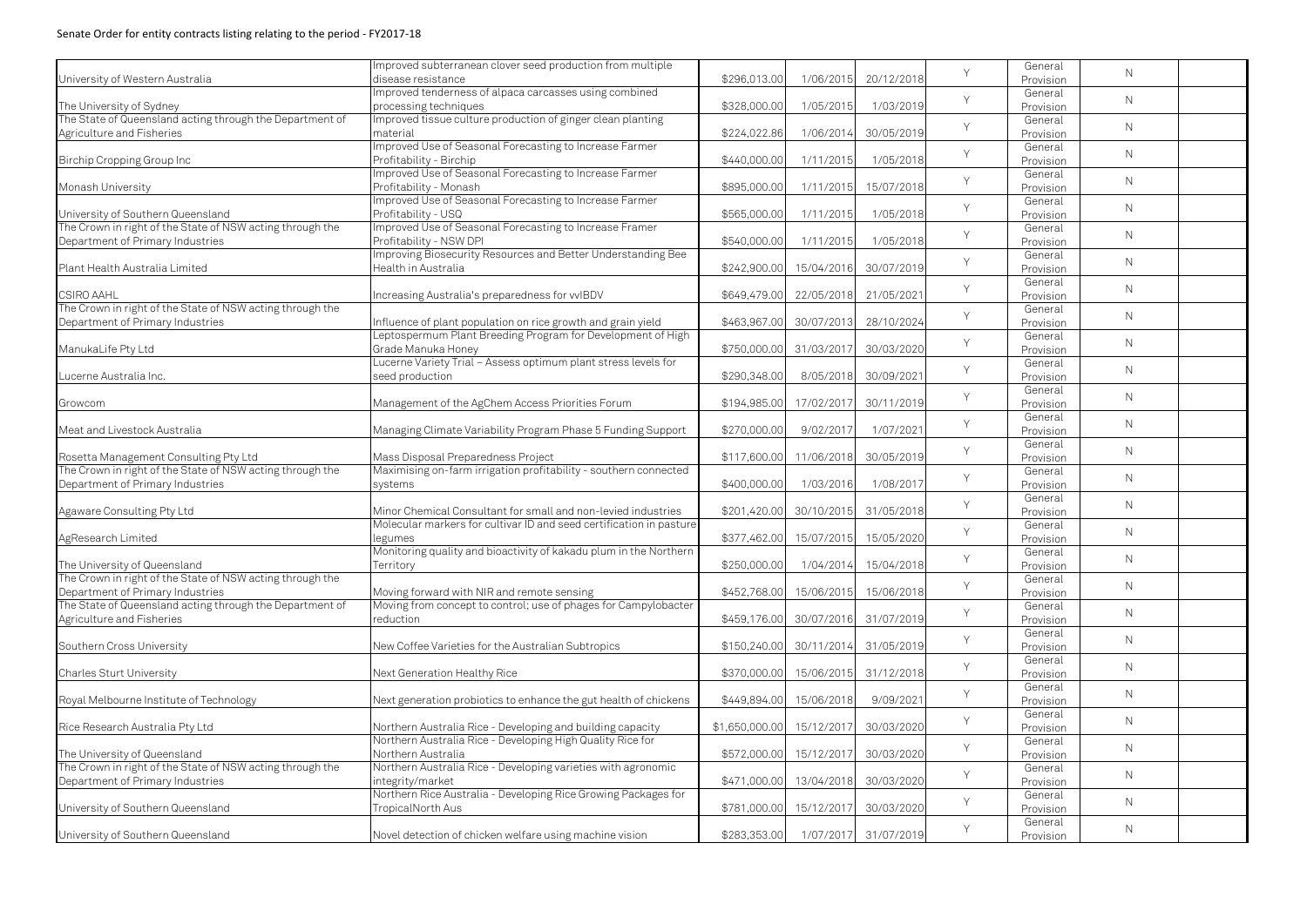|                                                           | Improved subterranean clover seed production from multiple          |                           |                         |            | Y | General   |              |  |
|-----------------------------------------------------------|---------------------------------------------------------------------|---------------------------|-------------------------|------------|---|-----------|--------------|--|
| University of Western Australia                           | disease resistance                                                  | \$296,013.00              | 1/06/2015               | 20/12/2018 |   | Provision | $\mathsf{N}$ |  |
|                                                           | Improved tenderness of alpaca carcasses using combined              |                           |                         |            |   | General   |              |  |
| The University of Sydney                                  | processing techniques                                               | \$328,000.00              | 1/05/2015               | 1/03/2019  | Y | Provision | $\mathsf{N}$ |  |
| The State of Queensland acting through the Department of  | Improved tissue culture production of ginger clean planting         |                           |                         |            |   | General   |              |  |
| Agriculture and Fisheries                                 | material                                                            | \$224,022.86              | 1/06/2014               | 30/05/2019 | Y |           | $\mathsf{N}$ |  |
|                                                           | Improved Use of Seasonal Forecasting to Increase Farmer             |                           |                         |            |   | Provision |              |  |
|                                                           |                                                                     |                           |                         |            | Y | General   | $\mathsf{N}$ |  |
| Birchip Cropping Group Inc                                | Profitability - Birchip                                             | \$440,000.00              | 1/11/2015               | 1/05/2018  |   | Provision |              |  |
|                                                           | Improved Use of Seasonal Forecasting to Increase Farmer             |                           |                         |            | Y | General   | $\mathsf{N}$ |  |
| Monash University                                         | Profitability - Monash                                              | \$895,000.00              | 1/11/2015               | 15/07/2018 |   | Provision |              |  |
|                                                           | Improved Use of Seasonal Forecasting to Increase Farmer             |                           |                         |            | Y | General   | $\mathsf{N}$ |  |
| University of Southern Queensland                         | Profitability - USQ                                                 | \$565,000.00              | 1/11/2015               | 1/05/2018  |   | Provision |              |  |
| The Crown in right of the State of NSW acting through the | Improved Use of Seasonal Forecasting to Increase Framer             |                           |                         |            | Y | General   |              |  |
| Department of Primary Industries                          | Profitability - NSW DPI                                             | \$540,000.00              | 1/11/2015               | 1/05/2018  |   | Provision | $\mathsf{N}$ |  |
|                                                           | Improving Biosecurity Resources and Better Understanding Bee        |                           |                         |            |   | General   |              |  |
| Plant Health Australia Limited                            | Health in Australia                                                 | \$242,900.00              | 15/04/2016              | 30/07/2019 | Y | Provision | $\mathsf{N}$ |  |
|                                                           |                                                                     |                           |                         |            |   | General   |              |  |
| <b>CSIRO AAHL</b>                                         | Increasing Australia's preparedness for vvIBDV                      | \$649,479.00              | 22/05/2018              | 21/05/2021 | Y | Provision | $\mathsf{N}$ |  |
| The Crown in right of the State of NSW acting through the |                                                                     |                           |                         |            |   | General   |              |  |
| Department of Primary Industries                          | Influence of plant population on rice growth and grain yield        | \$463,967.00              | 30/07/2013              | 28/10/2024 | Y |           | $\mathsf{N}$ |  |
|                                                           | Leptospermum Plant Breeding Program for Development of High         |                           |                         |            |   | Provision |              |  |
|                                                           |                                                                     |                           |                         |            | Y | General   | $\mathsf{N}$ |  |
| ManukaLife Pty Ltd                                        | Grade Manuka Honey                                                  |                           | \$750,000.00 31/03/2017 | 30/03/2020 |   | Provision |              |  |
|                                                           | Lucerne Variety Trial - Assess optimum plant stress levels for      |                           |                         |            | Y | General   | $\mathsf{N}$ |  |
| Lucerne Australia Inc.                                    | seed production                                                     | \$290,348.00              | 8/05/2018               | 30/09/2021 |   | Provision |              |  |
|                                                           |                                                                     |                           |                         |            | Y | General   | $\mathsf{N}$ |  |
| Growcom                                                   | Management of the AgChem Access Priorities Forum                    | \$194,985.00              | 17/02/2017              | 30/11/2019 |   | Provision |              |  |
|                                                           |                                                                     |                           |                         |            | Y | General   |              |  |
| Meat and Livestock Australia                              | Managing Climate Variability Program Phase 5 Funding Support        | \$270,000.00              | 9/02/2017               | 1/07/2021  |   | Provision | $\mathsf{N}$ |  |
|                                                           |                                                                     |                           |                         |            |   | General   |              |  |
| Rosetta Management Consulting Pty Ltd                     | Mass Disposal Preparedness Project                                  | \$117,600.00              | 11/06/2018              | 30/05/2019 | Y | Provision | $\mathsf{N}$ |  |
| The Crown in right of the State of NSW acting through the | Maximising on-farm irrigation profitability - southern connected    |                           |                         |            |   | General   |              |  |
| Department of Primary Industries                          | systems                                                             | \$400,000.00              | 1/03/2016               | 1/08/2017  | Y | Provision | $\mathsf{N}$ |  |
|                                                           |                                                                     |                           |                         |            |   | General   |              |  |
|                                                           |                                                                     |                           |                         |            | Y |           | $\mathsf{N}$ |  |
| Agaware Consulting Pty Ltd                                | Minor Chemical Consultant for small and non-levied industries       | \$201,420.00              | 30/10/2015              | 31/05/2018 |   | Provision |              |  |
|                                                           | Molecular markers for cultivar ID and seed certification in pasture |                           |                         |            | Y | General   | $\mathsf N$  |  |
| AgResearch Limited                                        | legumes                                                             |                           | \$377,462.00 15/07/2015 | 15/05/2020 |   | Provision |              |  |
|                                                           | Monitoring quality and bioactivity of kakadu plum in the Northern   |                           |                         |            | Y | General   | $\mathsf{N}$ |  |
| The University of Queensland                              | Territory                                                           | \$250,000.00              | 1/04/2014               | 15/04/2018 |   | Provision |              |  |
| The Crown in right of the State of NSW acting through the |                                                                     |                           |                         |            | Y | General   | $\mathsf{N}$ |  |
| Department of Primary Industries                          | Moving forward with NIR and remote sensing                          | \$452,768.00              | 15/06/2015              | 15/06/2018 |   | Provision |              |  |
| The State of Queensland acting through the Department of  | Moving from concept to control; use of phages for Campylobacter     |                           |                         |            | Y | General   |              |  |
| Agriculture and Fisheries                                 | reduction                                                           |                           | \$459,176.00 30/07/2016 | 31/07/2019 |   | Provision | $\mathsf{N}$ |  |
|                                                           |                                                                     |                           |                         |            |   | General   |              |  |
| Southern Cross University                                 | New Coffee Varieties for the Australian Subtropics                  |                           | \$150,240.00 30/11/2014 | 31/05/2019 | Y | Provision | N            |  |
|                                                           |                                                                     |                           |                         |            |   | General   |              |  |
| <b>Charles Sturt University</b>                           | Next Generation Healthy Rice                                        | \$370,000.00              | 15/06/2015              | 31/12/2018 | Y | Provision | N            |  |
|                                                           |                                                                     |                           |                         |            |   | General   |              |  |
|                                                           |                                                                     | \$449,894.00              | 15/06/2018              | 9/09/2021  | Y |           | $\mathsf{N}$ |  |
| Royal Melbourne Institute of Technology                   | Next generation probiotics to enhance the gut health of chickens    |                           |                         |            |   | Provision |              |  |
|                                                           |                                                                     |                           |                         |            | Y | General   | $\mathsf{N}$ |  |
| Rice Research Australia Pty Ltd                           | Northern Australia Rice - Developing and building capacity          | \$1,650,000.00 15/12/2017 |                         | 30/03/2020 |   | Provision |              |  |
|                                                           | Northern Australia Rice - Developing High Quality Rice for          |                           |                         |            | Y | General   | $\mathsf{N}$ |  |
| The University of Queensland                              | Northern Australia                                                  | \$572,000.00              | 15/12/2017              | 30/03/2020 |   | Provision |              |  |
| The Crown in right of the State of NSW acting through the | Northern Australia Rice - Developing varieties with agronomic       |                           |                         |            | Y | General   | $\mathsf{N}$ |  |
| Department of Primary Industries                          | integrity/market                                                    | \$471,000.00              | 13/04/2018              | 30/03/2020 |   | Provision |              |  |
|                                                           | Northern Rice Australia - Developing Rice Growing Packages for      |                           |                         |            |   | General   |              |  |
| University of Southern Queensland                         | TropicalNorth Aus                                                   | \$781,000.00              | 15/12/2017              | 30/03/2020 | Y | Provision | $\mathsf{N}$ |  |
|                                                           |                                                                     |                           |                         |            |   | General   |              |  |
| University of Southern Queensland                         | Novel detection of chicken welfare using machine vision             | \$283,353.00              | 1/07/2017               | 31/07/2019 | Y | Provision | $\mathsf{N}$ |  |
|                                                           |                                                                     |                           |                         |            |   |           |              |  |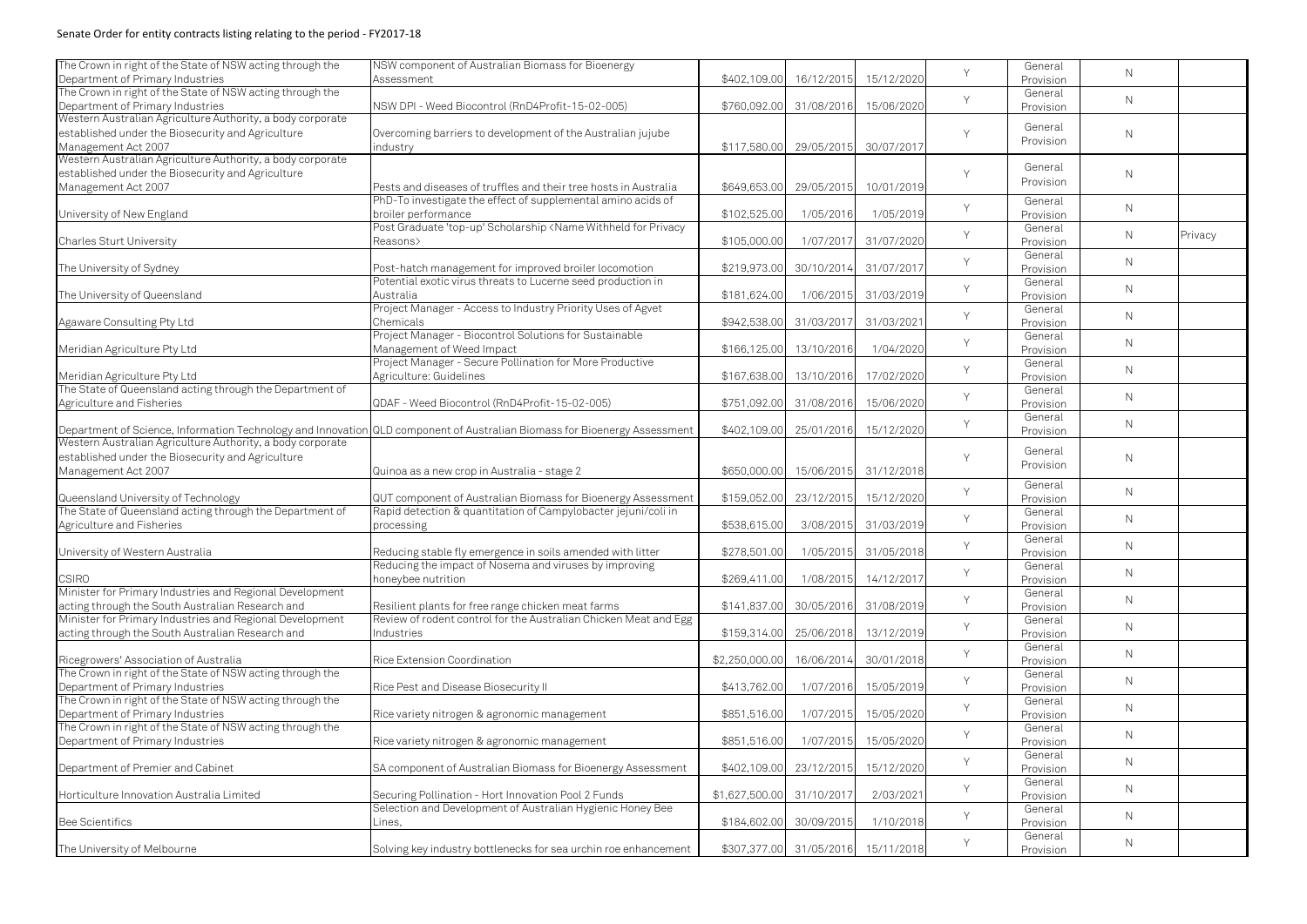| The Crown in right of the State of NSW acting through the  | NSW component of Australian Biomass for Bioenergy                                                                                                            |                |                                    |                       | Y      | General   |              |         |
|------------------------------------------------------------|--------------------------------------------------------------------------------------------------------------------------------------------------------------|----------------|------------------------------------|-----------------------|--------|-----------|--------------|---------|
| Department of Primary Industries                           | Assessment                                                                                                                                                   | \$402,109.00   | 16/12/2015                         | 15/12/2020            |        | Provision | $\mathsf{N}$ |         |
| The Crown in right of the State of NSW acting through the  |                                                                                                                                                              |                |                                    |                       |        | General   |              |         |
| Department of Primary Industries                           | NSW DPI - Weed Biocontrol (RnD4Profit-15-02-005)                                                                                                             | \$760,092.00   | 31/08/2016                         | 15/06/2020            | Y      | Provision | $\mathsf{N}$ |         |
| Western Australian Agriculture Authority, a body corporate |                                                                                                                                                              |                |                                    |                       |        |           |              |         |
| established under the Biosecurity and Agriculture          | Overcoming barriers to development of the Australian jujube                                                                                                  |                |                                    |                       | $\vee$ | General   | $\mathsf{N}$ |         |
| Management Act 2007                                        |                                                                                                                                                              |                | 29/05/2015                         | 30/07/2017            |        | Provision |              |         |
| Western Australian Agriculture Authority, a body corporate | industry                                                                                                                                                     | \$117,580.00   |                                    |                       |        |           |              |         |
|                                                            |                                                                                                                                                              |                |                                    |                       |        | General   |              |         |
| established under the Biosecurity and Agriculture          |                                                                                                                                                              |                |                                    |                       | $\vee$ | Provision | $\mathsf{N}$ |         |
| Management Act 2007                                        | Pests and diseases of truffles and their tree hosts in Australia                                                                                             | \$649,653.00   | 29/05/2015                         | 10/01/2019            |        |           |              |         |
|                                                            | PhD-To investigate the effect of supplemental amino acids of                                                                                                 |                |                                    |                       | Y      | General   | $\mathsf{N}$ |         |
| University of New England                                  | broiler performance                                                                                                                                          | \$102,525.00   | 1/05/2016                          | 1/05/2019             |        | Provision |              |         |
|                                                            | Post Graduate 'top-up' Scholarship <name for="" privacy<="" td="" withheld=""><td></td><td></td><td></td><td>Y</td><td>General</td><td></td><td></td></name> |                |                                    |                       | Y      | General   |              |         |
| <b>Charles Sturt University</b>                            | Reasons>                                                                                                                                                     | \$105,000.00   | 1/07/2017                          | 31/07/2020            |        | Provision | $\mathsf{N}$ | Privacy |
|                                                            |                                                                                                                                                              |                |                                    |                       |        | General   |              |         |
| The University of Sydney                                   | Post-hatch management for improved broiler locomotion                                                                                                        | \$219,973.00   | 30/10/2014                         | 31/07/2017            | Y      | Provision | $\mathsf{N}$ |         |
|                                                            | Potential exotic virus threats to Lucerne seed production in                                                                                                 |                |                                    |                       |        | General   |              |         |
|                                                            | Australia                                                                                                                                                    | \$181,624.00   |                                    | 1/06/2015 31/03/2019  | Y      |           | $\mathsf{N}$ |         |
| The University of Queensland                               |                                                                                                                                                              |                |                                    |                       |        | Provision |              |         |
|                                                            | Project Manager - Access to Industry Priority Uses of Agvet                                                                                                  |                |                                    |                       | Y      | General   | $\mathsf{N}$ |         |
| Agaware Consulting Pty Ltd                                 | Chemicals                                                                                                                                                    | \$942,538.00   | 31/03/2017                         | 31/03/202             |        | Provision |              |         |
|                                                            | Project Manager - Biocontrol Solutions for Sustainable                                                                                                       |                |                                    |                       | Y      | General   | $\mathsf{N}$ |         |
| Meridian Agriculture Pty Ltd                               | Management of Weed Impact                                                                                                                                    | \$166,125.00   | 13/10/2016                         | 1/04/2020             |        | Provision |              |         |
|                                                            | Project Manager - Secure Pollination for More Productive                                                                                                     |                |                                    |                       | Y      | General   |              |         |
| Meridian Agriculture Pty Ltd                               | Agriculture: Guidelines                                                                                                                                      | \$167,638.00   | 13/10/2016                         | 17/02/2020            |        | Provision | $\mathsf{N}$ |         |
| The State of Queensland acting through the Department of   |                                                                                                                                                              |                |                                    |                       |        | General   |              |         |
| Agriculture and Fisheries                                  | QDAF - Weed Biocontrol (RnD4Profit-15-02-005)                                                                                                                | \$751,092.00   | 31/08/2016                         | 15/06/2020            | Y      | Provision | $\mathsf{N}$ |         |
|                                                            |                                                                                                                                                              |                |                                    |                       |        | General   |              |         |
|                                                            |                                                                                                                                                              | \$402,109.00   | 25/01/2016                         | 15/12/2020            | Y      |           | $\mathsf{N}$ |         |
| Western Australian Agriculture Authority, a body corporate | Department of Science, Information Technology and Innovation QLD component of Australian Biomass for Bioenergy Assessment                                    |                |                                    |                       |        | Provision |              |         |
|                                                            |                                                                                                                                                              |                |                                    |                       |        | General   |              |         |
| established under the Biosecurity and Agriculture          |                                                                                                                                                              |                |                                    |                       | Y      | Provision | $\mathsf{N}$ |         |
| Management Act 2007                                        | Quinoa as a new crop in Australia - stage 2                                                                                                                  | \$650,000.00   |                                    | 15/06/2015 31/12/2018 |        |           |              |         |
|                                                            |                                                                                                                                                              |                |                                    |                       | Y      | General   | $\mathsf{N}$ |         |
| Queensland University of Technology                        | QUT component of Australian Biomass for Bioenergy Assessment                                                                                                 | \$159,052.00   | 23/12/2015                         | 15/12/2020            |        | Provision |              |         |
| The State of Queensland acting through the Department of   | Rapid detection & quantitation of Campylobacter jejuni/coli in                                                                                               |                |                                    |                       |        | General   |              |         |
| Agriculture and Fisheries                                  | processing                                                                                                                                                   | \$538,615.00   | 3/08/2015                          | 31/03/2019            | Y      | Provision | $\mathsf{N}$ |         |
|                                                            |                                                                                                                                                              |                |                                    |                       |        | General   |              |         |
| University of Western Australia                            | Reducing stable fly emergence in soils amended with litter                                                                                                   | \$278,501.00   |                                    | 1/05/2015 31/05/2018  | Y      | Provision | $\mathsf{N}$ |         |
|                                                            | Reducing the impact of Nosema and viruses by improving                                                                                                       |                |                                    |                       |        | General   |              |         |
| <b>CSIRO</b>                                               | honeybee nutrition                                                                                                                                           | \$269,411.00   |                                    | 1/08/2015 14/12/201   | Y      | Provision | $\mathsf{N}$ |         |
| Minister for Primary Industries and Regional Development   |                                                                                                                                                              |                |                                    |                       |        | General   |              |         |
|                                                            |                                                                                                                                                              |                |                                    |                       | Y      |           | $\mathsf{N}$ |         |
| acting through the South Australian Research and           | Resilient plants for free range chicken meat farms                                                                                                           | \$141,837.00   | 30/05/2016                         | 31/08/2019            |        | Provision |              |         |
| Minister for Primary Industries and Regional Development   | Review of rodent control for the Australian Chicken Meat and Egg                                                                                             |                |                                    |                       | Y      | General   | $\mathsf{N}$ |         |
| acting through the South Australian Research and           | Industries                                                                                                                                                   | \$159,314.00   | 25/06/2018                         | 13/12/2019            |        | Provision |              |         |
|                                                            |                                                                                                                                                              |                |                                    |                       | Y      | General   | $\mathsf{N}$ |         |
| Ricegrowers' Association of Australia                      | Rice Extension Coordination                                                                                                                                  | \$2,250,000.00 | 16/06/2014                         | 30/01/2018            |        | Provision |              |         |
| The Crown in right of the State of NSW acting through the  |                                                                                                                                                              |                |                                    |                       | Y      | General   |              |         |
| Department of Primary Industries                           | Rice Pest and Disease Biosecurity II                                                                                                                         | \$413,762.00   | 1/07/2016                          | 15/05/2019            |        | Provision | $\mathsf{N}$ |         |
| The Crown in right of the State of NSW acting through the  |                                                                                                                                                              |                |                                    |                       |        | General   |              |         |
| Department of Primary Industries                           | Rice variety nitrogen & agronomic management                                                                                                                 | \$851,516.00   | 1/07/2015                          | 15/05/2020            | Y      | Provision | $\mathsf{N}$ |         |
| The Crown in right of the State of NSW acting through the  |                                                                                                                                                              |                |                                    |                       |        | General   |              |         |
| Department of Primary Industries                           | Rice variety nitrogen & agronomic management                                                                                                                 | \$851,516.00   | 1/07/2015                          | 15/05/2020            | Y      | Provision | $\mathsf{N}$ |         |
|                                                            |                                                                                                                                                              |                |                                    |                       |        | General   |              |         |
|                                                            |                                                                                                                                                              |                |                                    |                       | Y      |           | $\mathsf{N}$ |         |
| Department of Premier and Cabinet                          | SA component of Australian Biomass for Bioenergy Assessment                                                                                                  | \$402,109.00   | 23/12/2015                         | 15/12/2020            |        | Provision |              |         |
|                                                            |                                                                                                                                                              |                |                                    |                       | Y      | General   | $\mathsf{N}$ |         |
| Horticulture Innovation Australia Limited                  | Securing Pollination - Hort Innovation Pool 2 Funds                                                                                                          | \$1,627,500.00 | 31/10/2017                         | 2/03/2021             |        | Provision |              |         |
|                                                            | Selection and Development of Australian Hygienic Honey Bee                                                                                                   |                |                                    |                       | Y      | General   | $\mathsf{N}$ |         |
| <b>Bee Scientifics</b>                                     | Lines,                                                                                                                                                       | \$184,602.00   | 30/09/2015                         | 1/10/2018             |        | Provision |              |         |
|                                                            |                                                                                                                                                              |                |                                    |                       | Y      | General   | $\mathsf{N}$ |         |
| The University of Melbourne                                | Solving key industry bottlenecks for sea urchin roe enhancement                                                                                              |                | \$307,377.00 31/05/2016 15/11/2018 |                       |        | Provision |              |         |
|                                                            |                                                                                                                                                              |                |                                    |                       |        |           |              |         |